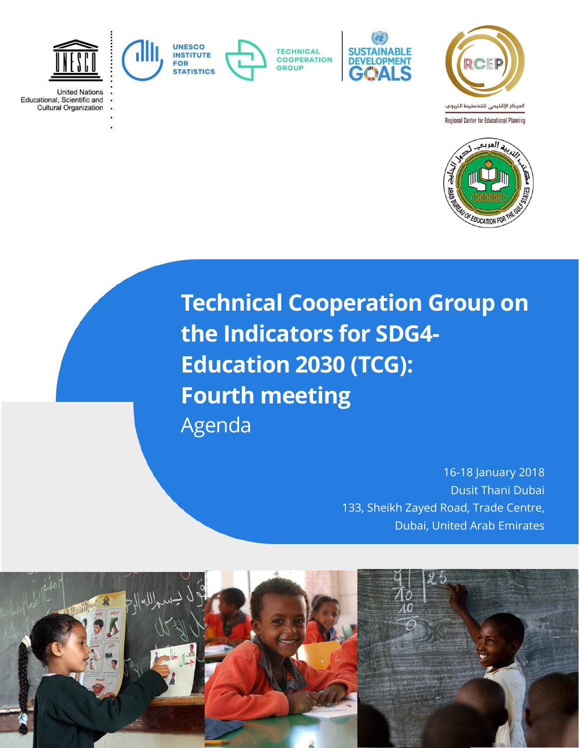

**United Nations** Educational, Scientific and **Cultural Organization** 



**TECHNICAL COOPERATION** GROUP







**Technical Cooperation Group on the Indicators for SDG4- Education 2030 (TCG): Fourth meeting** Agenda

> 16-18 January 2018 Dusit Thani Dubai 133, Sheikh Zayed Road, Trade Centre, Dubai, United Arab Emirates

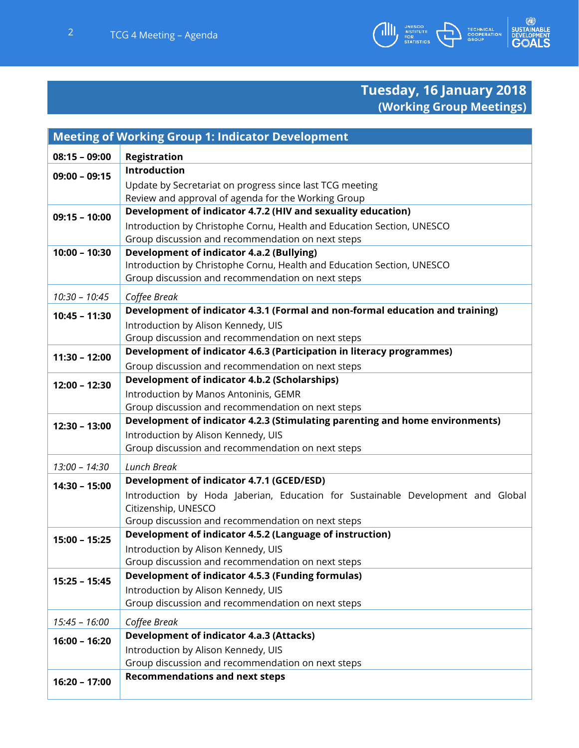

## **Tuesday, 16 January 2018 (Working Group Meetings)**

| <b>Meeting of Working Group 1: Indicator Development</b> |                                                                                                                            |  |
|----------------------------------------------------------|----------------------------------------------------------------------------------------------------------------------------|--|
| $08:15 - 09:00$                                          | <b>Registration</b>                                                                                                        |  |
| $09:00 - 09:15$                                          | Introduction                                                                                                               |  |
|                                                          | Update by Secretariat on progress since last TCG meeting                                                                   |  |
|                                                          | Review and approval of agenda for the Working Group                                                                        |  |
| $09:15 - 10:00$                                          | Development of indicator 4.7.2 (HIV and sexuality education)                                                               |  |
|                                                          | Introduction by Christophe Cornu, Health and Education Section, UNESCO                                                     |  |
| $10:00 - 10:30$                                          | Group discussion and recommendation on next steps                                                                          |  |
|                                                          | <b>Development of indicator 4.a.2 (Bullying)</b><br>Introduction by Christophe Cornu, Health and Education Section, UNESCO |  |
|                                                          | Group discussion and recommendation on next steps                                                                          |  |
|                                                          |                                                                                                                            |  |
| $10:30 - 10:45$                                          | Coffee Break<br>Development of indicator 4.3.1 (Formal and non-formal education and training)                              |  |
| $10:45 - 11:30$                                          |                                                                                                                            |  |
|                                                          | Introduction by Alison Kennedy, UIS<br>Group discussion and recommendation on next steps                                   |  |
|                                                          | Development of indicator 4.6.3 (Participation in literacy programmes)                                                      |  |
| $11:30 - 12:00$                                          | Group discussion and recommendation on next steps                                                                          |  |
|                                                          | <b>Development of indicator 4.b.2 (Scholarships)</b>                                                                       |  |
| $12:00 - 12:30$                                          | Introduction by Manos Antoninis, GEMR                                                                                      |  |
|                                                          | Group discussion and recommendation on next steps                                                                          |  |
| $12:30 - 13:00$                                          | Development of indicator 4.2.3 (Stimulating parenting and home environments)                                               |  |
|                                                          | Introduction by Alison Kennedy, UIS                                                                                        |  |
|                                                          | Group discussion and recommendation on next steps                                                                          |  |
| $13:00 - 14:30$                                          | Lunch Break                                                                                                                |  |
| $14:30 - 15:00$                                          | Development of indicator 4.7.1 (GCED/ESD)                                                                                  |  |
|                                                          | Introduction by Hoda Jaberian, Education for Sustainable Development and Global                                            |  |
|                                                          | Citizenship, UNESCO                                                                                                        |  |
|                                                          | Group discussion and recommendation on next steps                                                                          |  |
| $15:00 - 15:25$                                          | Development of indicator 4.5.2 (Language of instruction)                                                                   |  |
|                                                          | Introduction by Alison Kennedy, UIS                                                                                        |  |
|                                                          | Group discussion and recommendation on next steps<br><b>Development of indicator 4.5.3 (Funding formulas)</b>              |  |
| $15:25 - 15:45$                                          | Introduction by Alison Kennedy, UIS                                                                                        |  |
|                                                          | Group discussion and recommendation on next steps                                                                          |  |
|                                                          |                                                                                                                            |  |
| $15:45 - 16:00$                                          | Coffee Break                                                                                                               |  |
| $16:00 - 16:20$                                          | <b>Development of indicator 4.a.3 (Attacks)</b>                                                                            |  |
|                                                          | Introduction by Alison Kennedy, UIS<br>Group discussion and recommendation on next steps                                   |  |
|                                                          | <b>Recommendations and next steps</b>                                                                                      |  |
| $16:20 - 17:00$                                          |                                                                                                                            |  |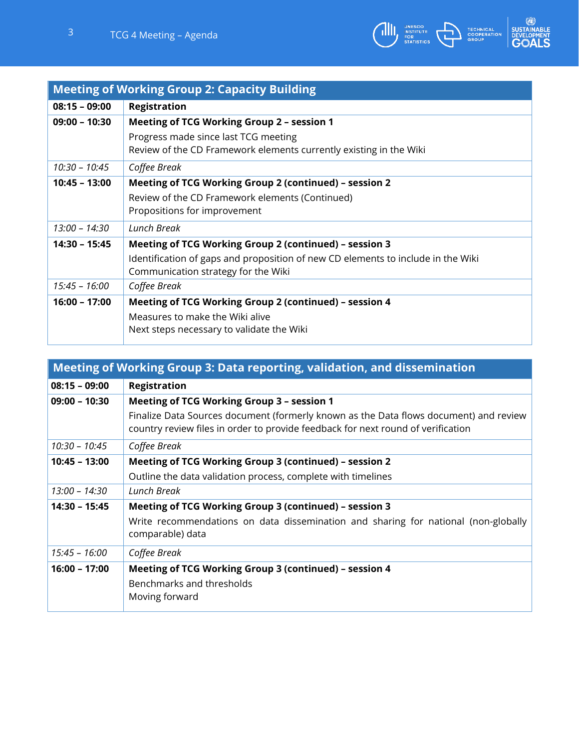

| <b>Meeting of Working Group 2: Capacity Building</b> |                                                                                                                         |  |
|------------------------------------------------------|-------------------------------------------------------------------------------------------------------------------------|--|
| $08:15 - 09:00$                                      | Registration                                                                                                            |  |
| $09:00 - 10:30$                                      | Meeting of TCG Working Group 2 - session 1                                                                              |  |
|                                                      | Progress made since last TCG meeting<br>Review of the CD Framework elements currently existing in the Wiki              |  |
| $10:30 - 10:45$                                      | Coffee Break                                                                                                            |  |
| $10:45 - 13:00$                                      | Meeting of TCG Working Group 2 (continued) - session 2                                                                  |  |
|                                                      | Review of the CD Framework elements (Continued)<br>Propositions for improvement                                         |  |
| $13:00 - 14:30$                                      | Lunch Break                                                                                                             |  |
| $14:30 - 15:45$                                      | Meeting of TCG Working Group 2 (continued) - session 3                                                                  |  |
|                                                      | Identification of gaps and proposition of new CD elements to include in the Wiki<br>Communication strategy for the Wiki |  |
| $15:45 - 16:00$                                      | Coffee Break                                                                                                            |  |
| $16:00 - 17:00$                                      | Meeting of TCG Working Group 2 (continued) - session 4                                                                  |  |
|                                                      | Measures to make the Wiki alive                                                                                         |  |
|                                                      | Next steps necessary to validate the Wiki                                                                               |  |

| Meeting of Working Group 3: Data reporting, validation, and dissemination |                                                                                       |  |
|---------------------------------------------------------------------------|---------------------------------------------------------------------------------------|--|
| $08:15 - 09:00$                                                           | <b>Registration</b>                                                                   |  |
| $09:00 - 10:30$                                                           | <b>Meeting of TCG Working Group 3 - session 1</b>                                     |  |
|                                                                           | Finalize Data Sources document (formerly known as the Data flows document) and review |  |
|                                                                           | country review files in order to provide feedback for next round of verification      |  |
| 10:30 - 10:45                                                             | Coffee Break                                                                          |  |
| $10:45 - 13:00$                                                           | Meeting of TCG Working Group 3 (continued) - session 2                                |  |
|                                                                           | Outline the data validation process, complete with timelines                          |  |
| 13:00 - 14:30                                                             | Lunch Break                                                                           |  |
| 14:30 - 15:45                                                             | Meeting of TCG Working Group 3 (continued) - session 3                                |  |
|                                                                           | Write recommendations on data dissemination and sharing for national (non-globally    |  |
|                                                                           | comparable) data                                                                      |  |
| $15:45 - 16:00$                                                           | Coffee Break                                                                          |  |
| 16:00 - 17:00                                                             | Meeting of TCG Working Group 3 (continued) - session 4                                |  |
|                                                                           | Benchmarks and thresholds                                                             |  |
|                                                                           | Moving forward                                                                        |  |
|                                                                           |                                                                                       |  |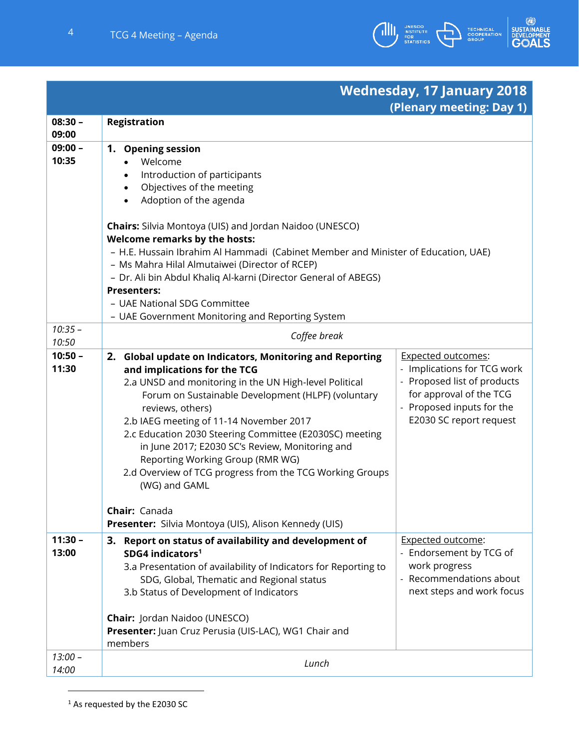

## **Wednesday, 17 January 2018 (Plenary meeting: Day 1)**

| $08:30 -$<br>09:00 | <b>Registration</b>                                                               |                             |  |
|--------------------|-----------------------------------------------------------------------------------|-----------------------------|--|
| $09:00 -$          | 1. Opening session                                                                |                             |  |
| 10:35              | Welcome                                                                           |                             |  |
|                    | Introduction of participants                                                      |                             |  |
|                    | Objectives of the meeting<br>$\bullet$                                            |                             |  |
|                    | Adoption of the agenda<br>$\bullet$                                               |                             |  |
|                    | Chairs: Silvia Montoya (UIS) and Jordan Naidoo (UNESCO)                           |                             |  |
|                    | <b>Welcome remarks by the hosts:</b>                                              |                             |  |
|                    | - H.E. Hussain Ibrahim Al Hammadi (Cabinet Member and Minister of Education, UAE) |                             |  |
|                    | - Ms Mahra Hilal Almutaiwei (Director of RCEP)                                    |                             |  |
|                    | - Dr. Ali bin Abdul Khaliq Al-karni (Director General of ABEGS)                   |                             |  |
|                    | <b>Presenters:</b>                                                                |                             |  |
|                    | - UAE National SDG Committee                                                      |                             |  |
|                    | - UAE Government Monitoring and Reporting System                                  |                             |  |
| $10:35 -$<br>10:50 | Coffee break                                                                      |                             |  |
| $10:50 -$          | 2. Global update on Indicators, Monitoring and Reporting                          | <b>Expected outcomes:</b>   |  |
| 11:30              | and implications for the TCG                                                      | - Implications for TCG work |  |
|                    | 2.a UNSD and monitoring in the UN High-level Political                            | Proposed list of products   |  |
|                    | Forum on Sustainable Development (HLPF) (voluntary                                | for approval of the TCG     |  |
|                    | reviews, others)                                                                  | - Proposed inputs for the   |  |
|                    | 2.b IAEG meeting of 11-14 November 2017                                           | E2030 SC report request     |  |
|                    | 2.c Education 2030 Steering Committee (E2030SC) meeting                           |                             |  |
|                    | in June 2017; E2030 SC's Review, Monitoring and                                   |                             |  |
|                    | Reporting Working Group (RMR WG)                                                  |                             |  |
|                    | 2.d Overview of TCG progress from the TCG Working Groups                          |                             |  |
|                    | (WG) and GAML                                                                     |                             |  |
|                    | Chair: Canada                                                                     |                             |  |
|                    | Presenter: Silvia Montoya (UIS), Alison Kennedy (UIS)                             |                             |  |
| $11:30 -$          | 3. Report on status of availability and development of                            | <b>Expected outcome:</b>    |  |
| 13:00              | SDG4 indicators <sup>1</sup>                                                      | - Endorsement by TCG of     |  |
|                    | 3.a Presentation of availability of Indicators for Reporting to                   | work progress               |  |
|                    | SDG, Global, Thematic and Regional status                                         | - Recommendations about     |  |
|                    | 3.b Status of Development of Indicators                                           | next steps and work focus   |  |
|                    |                                                                                   |                             |  |
|                    | Chair: Jordan Naidoo (UNESCO)                                                     |                             |  |
|                    | Presenter: Juan Cruz Perusia (UIS-LAC), WG1 Chair and                             |                             |  |
|                    | members                                                                           |                             |  |
| $13:00 -$          | Lunch                                                                             |                             |  |
| 14:00              |                                                                                   |                             |  |

<sup>1</sup> As requested by the E2030 SC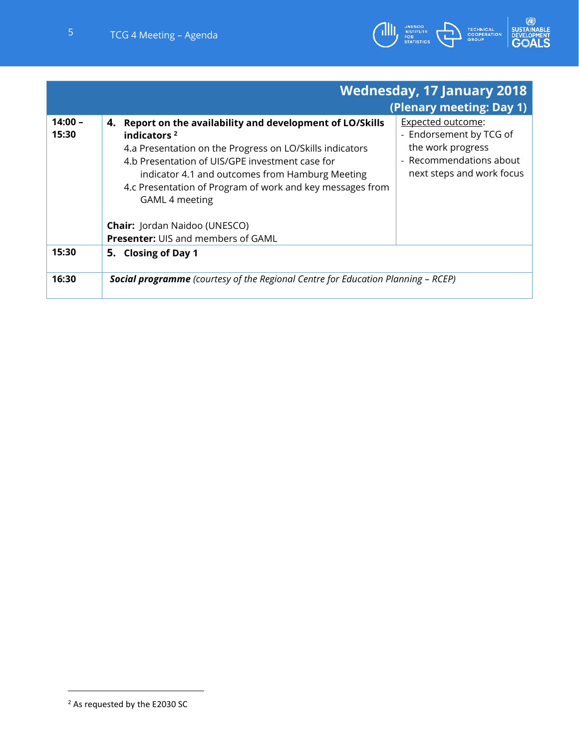

|                    |                                                                                                                                                                                                                                                                                                                               | <b>Wednesday, 17 January 2018</b><br>(Plenary meeting: Day 1)                                                                    |
|--------------------|-------------------------------------------------------------------------------------------------------------------------------------------------------------------------------------------------------------------------------------------------------------------------------------------------------------------------------|----------------------------------------------------------------------------------------------------------------------------------|
| $14:00 -$<br>15:30 | 4. Report on the availability and development of LO/Skills<br>indicators $2$<br>4.a Presentation on the Progress on LO/Skills indicators<br>4.b Presentation of UIS/GPE investment case for<br>indicator 4.1 and outcomes from Hamburg Meeting<br>4.c Presentation of Program of work and key messages from<br>GAML 4 meeting | <b>Expected outcome:</b><br>- Endorsement by TCG of<br>the work progress<br>- Recommendations about<br>next steps and work focus |
|                    | <b>Chair:</b> Jordan Naidoo (UNESCO)<br><b>Presenter: UIS and members of GAML</b>                                                                                                                                                                                                                                             |                                                                                                                                  |
| 15:30              | 5. Closing of Day 1                                                                                                                                                                                                                                                                                                           |                                                                                                                                  |
| 16:30              | <b>Social programme</b> (courtesy of the Regional Centre for Education Planning - RCEP)                                                                                                                                                                                                                                       |                                                                                                                                  |

<sup>2</sup> As requested by the E2030 SC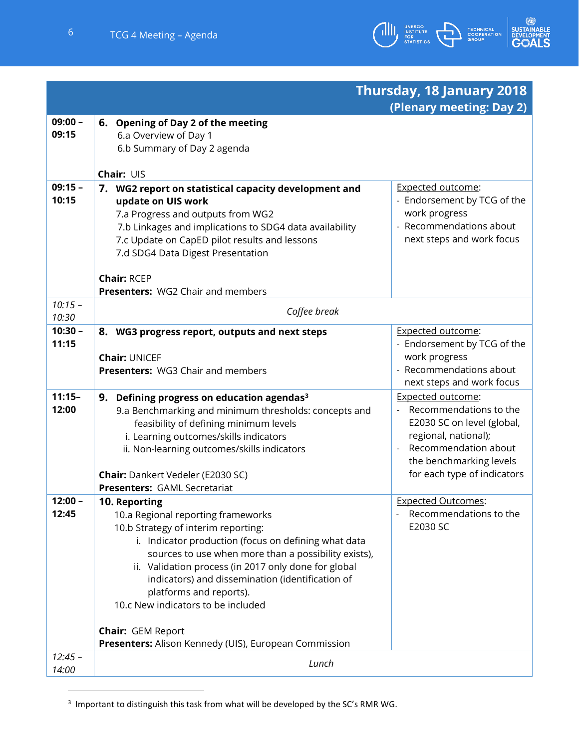

|                    |                                                                                                                                                                                                                                                                                                                                                                                                                                                                              | Thursday, 18 January 2018                                                                                                                                                                  |
|--------------------|------------------------------------------------------------------------------------------------------------------------------------------------------------------------------------------------------------------------------------------------------------------------------------------------------------------------------------------------------------------------------------------------------------------------------------------------------------------------------|--------------------------------------------------------------------------------------------------------------------------------------------------------------------------------------------|
|                    |                                                                                                                                                                                                                                                                                                                                                                                                                                                                              | (Plenary meeting: Day 2)                                                                                                                                                                   |
| $09:00 -$<br>09:15 | 6. Opening of Day 2 of the meeting<br>6.a Overview of Day 1<br>6.b Summary of Day 2 agenda                                                                                                                                                                                                                                                                                                                                                                                   |                                                                                                                                                                                            |
|                    | Chair: UIS                                                                                                                                                                                                                                                                                                                                                                                                                                                                   |                                                                                                                                                                                            |
| $09:15 -$<br>10:15 | 7. WG2 report on statistical capacity development and<br>update on UIS work<br>7.a Progress and outputs from WG2<br>7.b Linkages and implications to SDG4 data availability<br>7.c Update on CapED pilot results and lessons<br>7.d SDG4 Data Digest Presentation<br><b>Chair: RCEP</b>                                                                                                                                                                                      | <b>Expected outcome:</b><br>- Endorsement by TCG of the<br>work progress<br>- Recommendations about<br>next steps and work focus                                                           |
| $10:15 -$          | <b>Presenters: WG2 Chair and members</b>                                                                                                                                                                                                                                                                                                                                                                                                                                     |                                                                                                                                                                                            |
| 10:30              | Coffee break                                                                                                                                                                                                                                                                                                                                                                                                                                                                 |                                                                                                                                                                                            |
| $10:30 -$<br>11:15 | 8. WG3 progress report, outputs and next steps<br><b>Chair: UNICEF</b><br><b>Presenters: WG3 Chair and members</b>                                                                                                                                                                                                                                                                                                                                                           | <b>Expected outcome:</b><br>- Endorsement by TCG of the<br>work progress<br>- Recommendations about<br>next steps and work focus                                                           |
| $11:15-$<br>12:00  | 9. Defining progress on education agendas <sup>3</sup><br>9.a Benchmarking and minimum thresholds: concepts and<br>feasibility of defining minimum levels<br>i. Learning outcomes/skills indicators<br>ii. Non-learning outcomes/skills indicators<br><b>Chair:</b> Dankert Vedeler (E2030 SC)<br><b>Presenters: GAML Secretariat</b>                                                                                                                                        | <b>Expected outcome:</b><br>Recommendations to the<br>E2030 SC on level (global,<br>regional, national);<br>Recommendation about<br>the benchmarking levels<br>for each type of indicators |
| $12:00 -$<br>12:45 | 10. Reporting<br>10.a Regional reporting frameworks<br>10.b Strategy of interim reporting:<br>i. Indicator production (focus on defining what data<br>sources to use when more than a possibility exists),<br>ii. Validation process (in 2017 only done for global<br>indicators) and dissemination (identification of<br>platforms and reports).<br>10.c New indicators to be included<br><b>Chair: GEM Report</b><br>Presenters: Alison Kennedy (UIS), European Commission | <b>Expected Outcomes:</b><br>Recommendations to the<br>E2030 SC                                                                                                                            |
| $12:45 -$<br>14:00 | Lunch                                                                                                                                                                                                                                                                                                                                                                                                                                                                        |                                                                                                                                                                                            |

 $3$  Important to distinguish this task from what will be developed by the SC's RMR WG.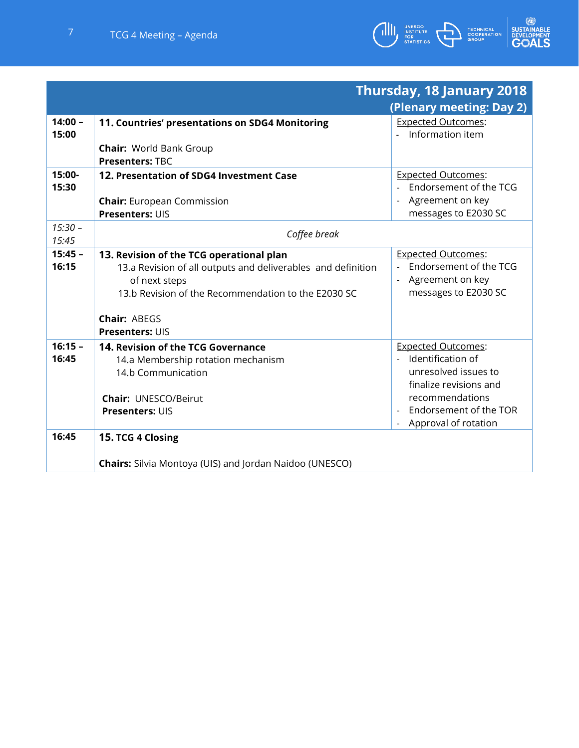



|                    |                                                                | Thursday, 18 January 2018               |
|--------------------|----------------------------------------------------------------|-----------------------------------------|
|                    |                                                                | (Plenary meeting: Day 2)                |
| $14:00 -$          | 11. Countries' presentations on SDG4 Monitoring                | <b>Expected Outcomes:</b>               |
| 15:00              |                                                                | Information item                        |
|                    | <b>Chair: World Bank Group</b>                                 |                                         |
|                    | <b>Presenters: TBC</b>                                         |                                         |
| 15:00-             | 12. Presentation of SDG4 Investment Case                       | <b>Expected Outcomes:</b>               |
| 15:30              |                                                                | Endorsement of the TCG                  |
|                    | <b>Chair:</b> European Commission                              | - Agreement on key                      |
|                    | <b>Presenters: UIS</b>                                         | messages to E2030 SC                    |
| $15:30 -$<br>15:45 | Coffee break                                                   |                                         |
| $15:45 -$          | 13. Revision of the TCG operational plan                       | <b>Expected Outcomes:</b>               |
| 16:15              | 13.a Revision of all outputs and deliverables and definition   | Endorsement of the TCG                  |
|                    | of next steps                                                  | - Agreement on key                      |
|                    | 13.b Revision of the Recommendation to the E2030 SC            | messages to E2030 SC                    |
|                    | Chair: ABEGS                                                   |                                         |
|                    | <b>Presenters: UIS</b>                                         |                                         |
| $16:15 -$          | 14. Revision of the TCG Governance                             | <b>Expected Outcomes:</b>               |
| 16:45              | 14.a Membership rotation mechanism                             | Identification of<br>$\Delta \sim 10^4$ |
|                    | 14.b Communication                                             | unresolved issues to                    |
|                    |                                                                | finalize revisions and                  |
|                    | <b>Chair: UNESCO/Beirut</b>                                    | recommendations                         |
|                    | <b>Presenters: UIS</b>                                         | - Endorsement of the TOR                |
|                    |                                                                | Approval of rotation                    |
| 16:45              | 15. TCG 4 Closing                                              |                                         |
|                    |                                                                |                                         |
|                    | <b>Chairs:</b> Silvia Montoya (UIS) and Jordan Naidoo (UNESCO) |                                         |